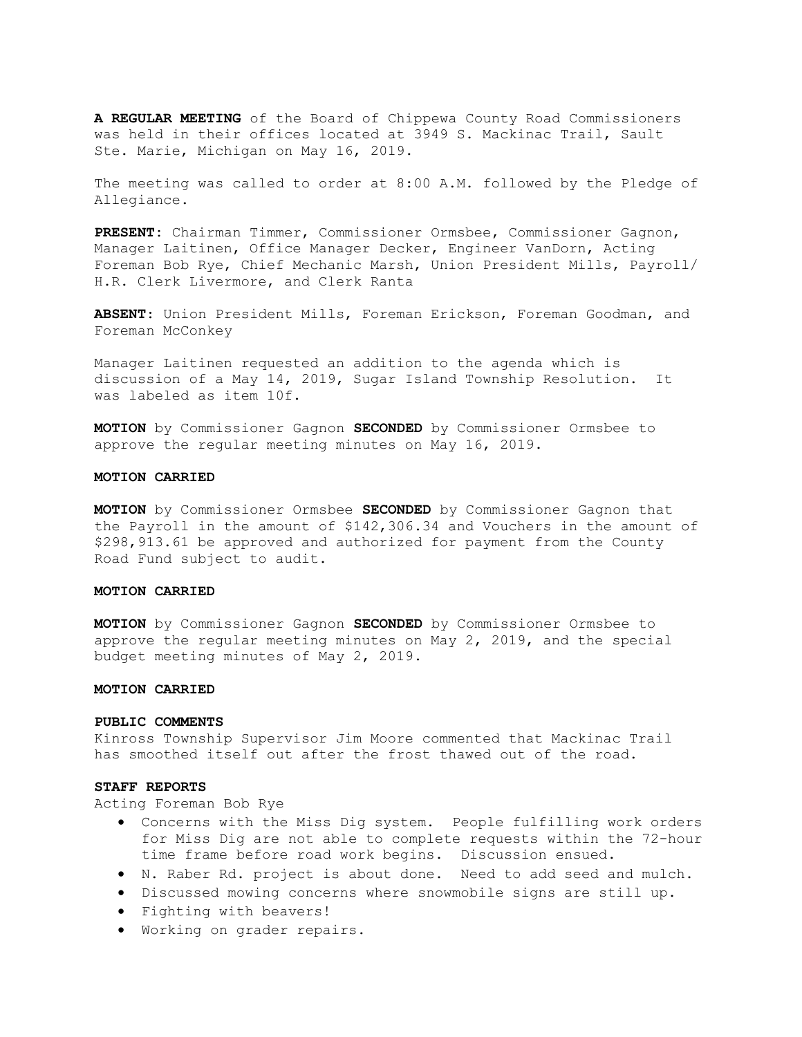A REGULAR MEETING of the Board of Chippewa County Road Commissioners was held in their offices located at 3949 S. Mackinac Trail, Sault Ste. Marie, Michigan on May 16, 2019.

The meeting was called to order at 8:00 A.M. followed by the Pledge of Allegiance.

PRESENT: Chairman Timmer, Commissioner Ormsbee, Commissioner Gagnon, Manager Laitinen, Office Manager Decker, Engineer VanDorn, Acting Foreman Bob Rye, Chief Mechanic Marsh, Union President Mills, Payroll/ H.R. Clerk Livermore, and Clerk Ranta

ABSENT: Union President Mills, Foreman Erickson, Foreman Goodman, and Foreman McConkey

Manager Laitinen requested an addition to the agenda which is discussion of a May 14, 2019, Sugar Island Township Resolution. It was labeled as item 10f.

MOTION by Commissioner Gagnon SECONDED by Commissioner Ormsbee to approve the regular meeting minutes on May 16, 2019.

## MOTION CARRIED

MOTION by Commissioner Ormsbee SECONDED by Commissioner Gagnon that the Payroll in the amount of \$142,306.34 and Vouchers in the amount of \$298,913.61 be approved and authorized for payment from the County Road Fund subject to audit.

# MOTION CARRIED

MOTION by Commissioner Gagnon SECONDED by Commissioner Ormsbee to approve the regular meeting minutes on May 2, 2019, and the special budget meeting minutes of May 2, 2019.

#### MOTION CARRIED

#### PUBLIC COMMENTS

Kinross Township Supervisor Jim Moore commented that Mackinac Trail has smoothed itself out after the frost thawed out of the road.

## STAFF REPORTS

Acting Foreman Bob Rye

- Concerns with the Miss Dig system. People fulfilling work orders for Miss Dig are not able to complete requests within the 72-hour time frame before road work begins. Discussion ensued.
- N. Raber Rd. project is about done. Need to add seed and mulch.
- Discussed mowing concerns where snowmobile signs are still up.
- Fighting with beavers!
- Working on grader repairs.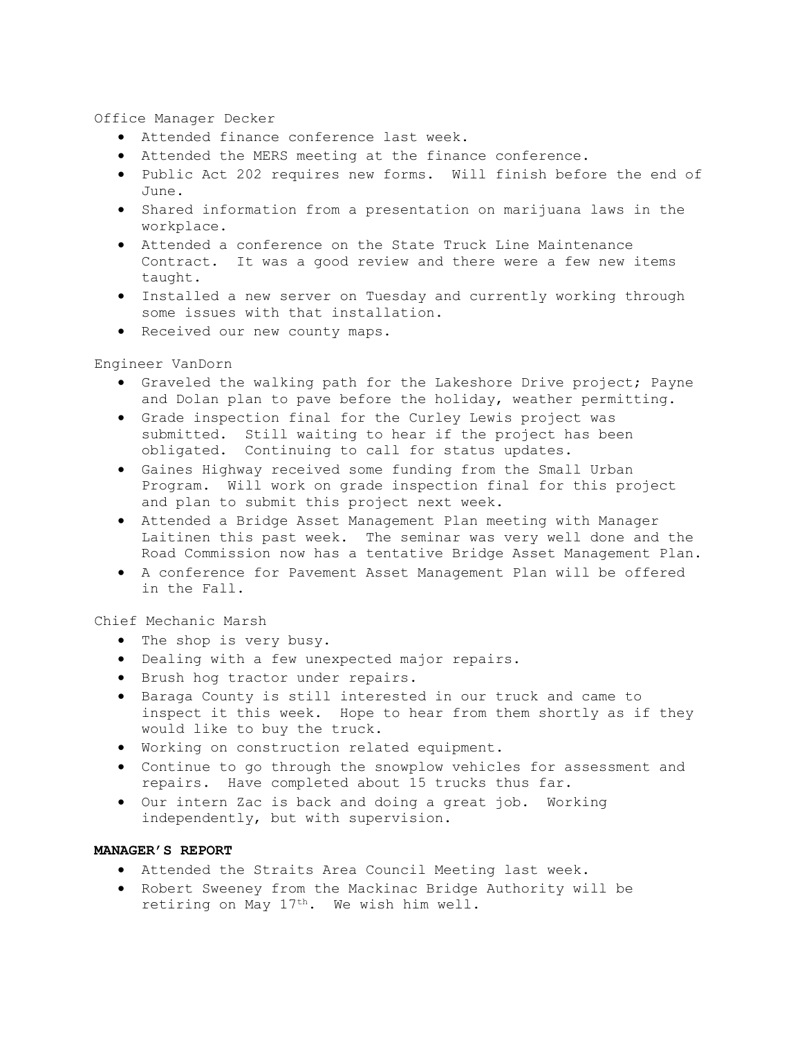Office Manager Decker

- Attended finance conference last week.
- Attended the MERS meeting at the finance conference.
- Public Act 202 requires new forms. Will finish before the end of June.
- Shared information from a presentation on marijuana laws in the workplace.
- Attended a conference on the State Truck Line Maintenance Contract. It was a good review and there were a few new items taught.
- Installed a new server on Tuesday and currently working through some issues with that installation.
- Received our new county maps.

Engineer VanDorn

- Graveled the walking path for the Lakeshore Drive project; Payne and Dolan plan to pave before the holiday, weather permitting.
- Grade inspection final for the Curley Lewis project was submitted. Still waiting to hear if the project has been obligated. Continuing to call for status updates.
- Gaines Highway received some funding from the Small Urban Program. Will work on grade inspection final for this project and plan to submit this project next week.
- Attended a Bridge Asset Management Plan meeting with Manager Laitinen this past week. The seminar was very well done and the Road Commission now has a tentative Bridge Asset Management Plan.
- A conference for Pavement Asset Management Plan will be offered in the Fall.

Chief Mechanic Marsh

- The shop is very busy.
- Dealing with a few unexpected major repairs.
- Brush hog tractor under repairs.
- Baraga County is still interested in our truck and came to inspect it this week. Hope to hear from them shortly as if they would like to buy the truck.
- Working on construction related equipment.
- Continue to go through the snowplow vehicles for assessment and repairs. Have completed about 15 trucks thus far.
- Our intern Zac is back and doing a great job. Working independently, but with supervision.

# MANAGER'S REPORT

- Attended the Straits Area Council Meeting last week.
- Robert Sweeney from the Mackinac Bridge Authority will be retiring on May 17<sup>th</sup>. We wish him well.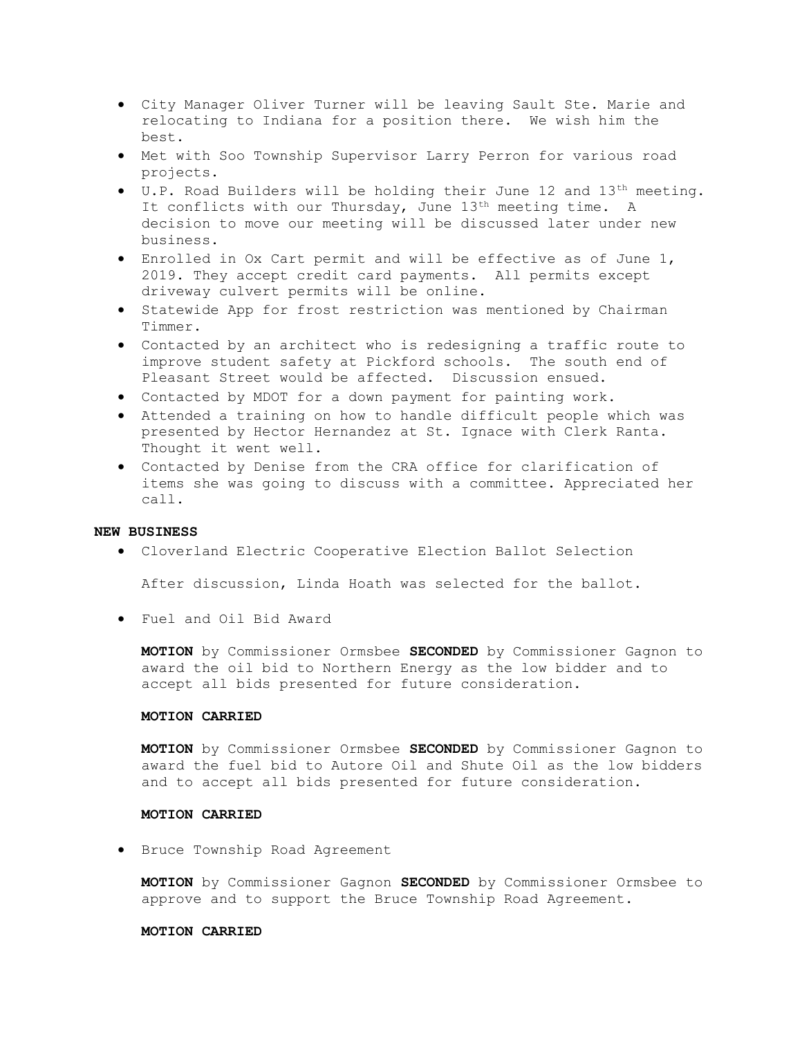- City Manager Oliver Turner will be leaving Sault Ste. Marie and relocating to Indiana for a position there. We wish him the best.
- Met with Soo Township Supervisor Larry Perron for various road projects.
- U.P. Road Builders will be holding their June 12 and 13th meeting. It conflicts with our Thursday, June  $13<sup>th</sup>$  meeting time. A decision to move our meeting will be discussed later under new business.
- Enrolled in Ox Cart permit and will be effective as of June 1, 2019. They accept credit card payments. All permits except driveway culvert permits will be online.
- **•** Statewide App for frost restriction was mentioned by Chairman Timmer.
- Contacted by an architect who is redesigning a traffic route to improve student safety at Pickford schools. The south end of Pleasant Street would be affected. Discussion ensued.
- Contacted by MDOT for a down payment for painting work.
- Attended a training on how to handle difficult people which was presented by Hector Hernandez at St. Ignace with Clerk Ranta. Thought it went well.
- Contacted by Denise from the CRA office for clarification of items she was going to discuss with a committee. Appreciated her call.

# NEW BUSINESS

Cloverland Electric Cooperative Election Ballot Selection

After discussion, Linda Hoath was selected for the ballot.

Fuel and Oil Bid Award

MOTION by Commissioner Ormsbee SECONDED by Commissioner Gagnon to award the oil bid to Northern Energy as the low bidder and to accept all bids presented for future consideration.

# MOTION CARRIED

MOTION by Commissioner Ormsbee SECONDED by Commissioner Gagnon to award the fuel bid to Autore Oil and Shute Oil as the low bidders and to accept all bids presented for future consideration.

# MOTION CARRIED

**•** Bruce Township Road Agreement

MOTION by Commissioner Gagnon SECONDED by Commissioner Ormsbee to approve and to support the Bruce Township Road Agreement.

## MOTION CARRIED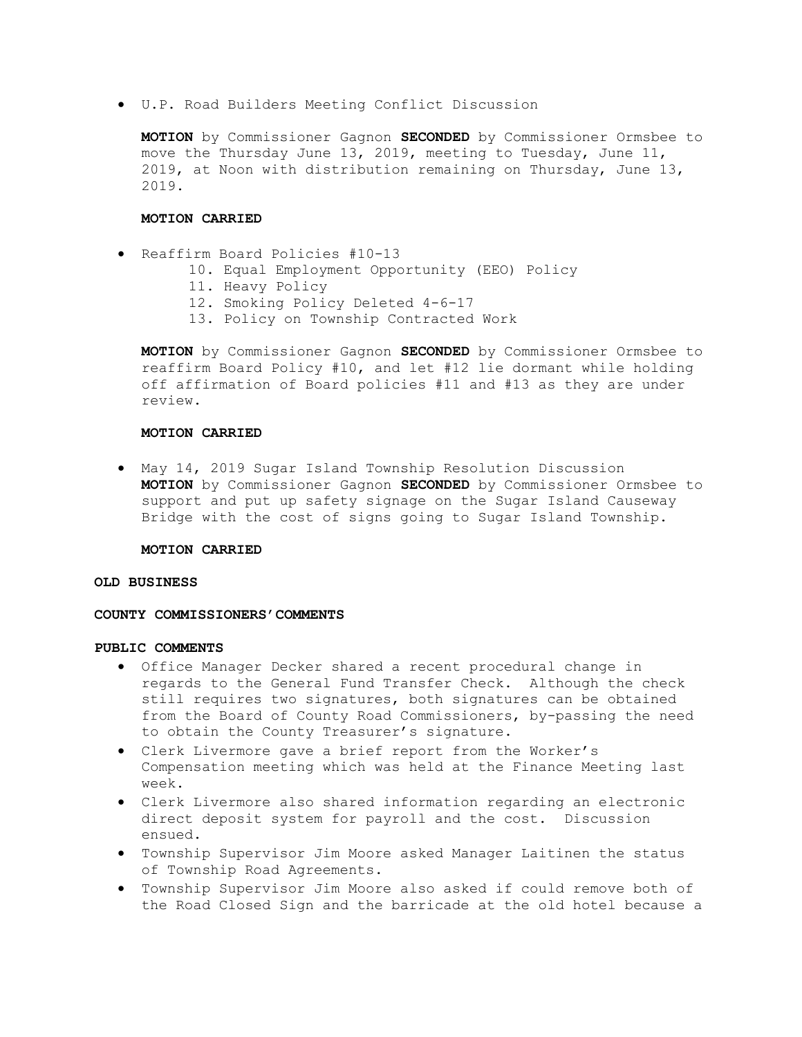U.P. Road Builders Meeting Conflict Discussion

MOTION by Commissioner Gagnon SECONDED by Commissioner Ormsbee to move the Thursday June 13, 2019, meeting to Tuesday, June 11, 2019, at Noon with distribution remaining on Thursday, June 13, 2019.

## MOTION CARRIED

```
 Reaffirm Board Policies #10-13
```
- 10. Equal Employment Opportunity (EEO) Policy
- 11. Heavy Policy
- 12. Smoking Policy Deleted 4-6-17
- 13. Policy on Township Contracted Work

MOTION by Commissioner Gagnon SECONDED by Commissioner Ormsbee to reaffirm Board Policy #10, and let #12 lie dormant while holding off affirmation of Board policies #11 and #13 as they are under review.

# MOTION CARRIED

 May 14, 2019 Sugar Island Township Resolution Discussion MOTION by Commissioner Gagnon SECONDED by Commissioner Ormsbee to support and put up safety signage on the Sugar Island Causeway Bridge with the cost of signs going to Sugar Island Township.

#### MOTION CARRIED

# OLD BUSINESS

## COUNTY COMMISSIONERS'COMMENTS

# PUBLIC COMMENTS

- Office Manager Decker shared a recent procedural change in regards to the General Fund Transfer Check. Although the check still requires two signatures, both signatures can be obtained from the Board of County Road Commissioners, by-passing the need to obtain the County Treasurer's signature.
- Clerk Livermore gave a brief report from the Worker's Compensation meeting which was held at the Finance Meeting last week.
- Clerk Livermore also shared information regarding an electronic direct deposit system for payroll and the cost. Discussion ensued.
- Township Supervisor Jim Moore asked Manager Laitinen the status of Township Road Agreements.
- Township Supervisor Jim Moore also asked if could remove both of the Road Closed Sign and the barricade at the old hotel because a